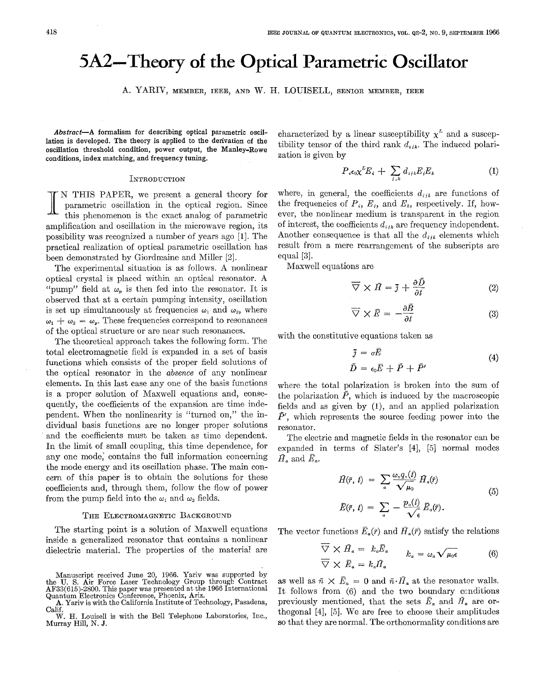# 5A2-Theory **of** the Optical Parametric Oscillator

A. YARIV, MEMBER, IEEE, AND W. H. LOUISELL, SENIOR MEMBER, IEEE

*Abstract-A* formalism for describing optical parametric oscillation is developed. The theory is applied to the derivation of the oscillation threshold condition, power output, the Manley-Rowe conditions, index matching, and frequency tuning.

### **INTRODUCTION**

N THIS PAPER, we present a general theory for parametric oscillation in the optical region. Since this phenomenon is the exact analog of parametric amplification and oscillation in the microwave region, its possibility was recognized a number of years ago [I]. The practical realization of optical parametric oscillation has been demonstrated by Giordmaine and Miller [2].

The experimental situation is as follows. A nonlinear optical crystal is placed within an optical resonator. A "pump" field at  $\omega_p$  is then fed into the resonator. It is observed that at a certain pumping intensity, oscillation is set up simultaneously at frequencies  $\omega_1$  and  $\omega_2$ , where  $\omega_1 + \omega_2 = \omega_p$ . These frequencies correspond to resonances of the optical structure or are near such resonances.

The theoretical approach takes the following form. The total electromagnetic field is expanded in a set of basis functions which consists of the proper field solutions of the optical resonator in the *absence* of any nonlinear elements. In this last case any one of the basis functions is a proper solution of Maxwell equations and, consequently, the coefficients of the expansion are time independent. When the nonlinearity is "turned on,'' the individual basis functions are no longer proper solutions and the coefficients must be taken as time dependent. In the limit of small coupling, this time dependence, for any one mode; contains the full information concerning the mode energy and its oscillation phase. The main concern of this paper is to obtain the solutions for these coefficients and, through them, follow the flow of power from the pump field into the  $\omega_1$  and  $\omega_2$  fields.

#### THE ELECTROMAGNETIC BACKGROUND

The starting point is a solution of Maxwell equations inside a generalized resonator that contains a nonlinear dielectric material. The properties of the material are

Manuscript received June 20, 1966. Yariv was supported by the **U.** S. Air Force Laser Technology Group through Contract AF33(615)-2800. This paper was presented at the 1966 International Quantum Electronics Conference, Phoenix, **Arix. A.** Yariv is with the California Institute of Technology, Pasadena, characterized by a linear susceptibility  $x^L$  and a susceptibility tensor of the third rank  $d_{ijk}$ . The induced polarization is given by

$$
P_{i}\epsilon_{0}\chi^{L}E_{i} + \sum_{i,k}d_{i\,k}E_{i}E_{k} \tag{1}
$$

where, in general, the coefficients  $d_{ijk}$  are functions of the frequencies of  $P_i$ ,  $E_i$ , and  $E_k$ , respectively. If, however, the nonlinear medium is transparent in the region of interest, the coefficients *diik* are frequency independent. Another consequence is that all the  $d_{ijk}$  elements which result from a mere rearrangement of the subscripts are equal **[3].** 

Maxwell equations are

$$
\overline{\nabla} \times \bar{H} = \bar{\jmath} + \frac{\partial \bar{D}}{\partial t} \tag{2}
$$

$$
\overline{\nabla} \times \overline{E} = -\frac{\partial \overline{B}}{\partial t} \tag{3}
$$

with the constitutive equations taken as

$$
\begin{aligned}\n\tilde{j} &= \sigma \bar{E} \\
\tilde{D} &= \epsilon_0 \bar{E} + \bar{P} + \bar{P}'\n\end{aligned} \tag{4}
$$

where the total polarization is broken into the sum of the polarization  $\tilde{P}$ , which is induced by the macroscopic fields and as given by **(I),** and an applied polarization  $\bar{P}'$ , which represents the source feeding power into the resonator.

The electric and magnetic fields in the resonator can be expanded in terms of Slater's [4], [5] normal modes  $\bar{H}_a$  and  $E_a$ .

$$
\bar{H}(\bar{r}, t) = \sum_{a} \frac{\omega_{a} q_{a}(t)}{\sqrt{\mu_{0}}} \bar{H}_{a}(\bar{r})
$$
\n
$$
\bar{E}(\bar{r}, t) = \sum_{a} -\frac{p_{a}(t)}{\sqrt{\epsilon}} \bar{E}_{a}(\bar{r}).
$$
\n(5)

The vector functions  $\bar{E}_a(\bar{r})$  and  $\bar{H}_a(\bar{r})$  satisfy the relations

$$
\overline{\nabla} \times \bar{H}_a = k_a \bar{E}_a \qquad k_a = \omega_a \sqrt{\mu_0 \epsilon} \qquad (6)
$$
  

$$
\overline{\nabla} \times \bar{E}_a = k_a \bar{H}_a
$$

as well as  $\bar{n} \times \bar{E}_a = 0$  and  $\bar{n} \cdot \bar{H}_a$  at the resonator walls. It follows from (6) and the two boundary ccnditions previously mentioned, that the sets  $\bar{E}_a$  and  $\bar{H}_a$  are orthogonal  $[4]$ ,  $[5]$ . We are free to choose their amplitudes so that they are normal. The orthonormality conditions are

Calif.

Murray Hill, N. **J.**  W. H. Louisell is with the Bell Telephone Laboratories, Inc.,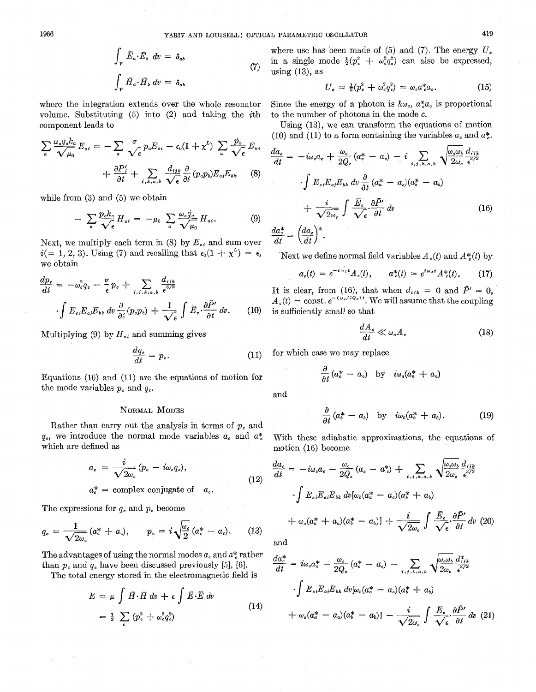$$
\int_{V} \overline{E}_{a} \cdot \overline{E}_{b} dv = \delta_{ab}
$$
\n
$$
\int_{V} \overline{H}_{a} \cdot \overline{H}_{b} dv = \delta_{ab}
$$
\n(7)

where the integration extends over the whole resonator volume. Substituting (5) into *(2)* and taking the ith component leads to

$$
\sum_{a} \frac{\omega_a q_a k_a}{\sqrt{\mu_0}} E_{ai} = -\sum_{a} \frac{\sigma}{\sqrt{\epsilon}} p_a E_{ai} - \epsilon_0 (1 + \chi^L) \sum_{a} \frac{\dot{p}_a}{\sqrt{\epsilon}} E_{ai}
$$

$$
+ \frac{\partial P_i'}{\partial t} + \sum_{i, k, a, b} \frac{d_{ijk}}{\sqrt{\epsilon}} \frac{\partial}{\partial t} (p_a p_b) E_{ai} E_{bk} \qquad (8)
$$

while from **(3)** and (5) we obtain

$$
- \sum_{a} \frac{p_{a}k_{a}}{\sqrt{\epsilon}} H_{ai} = -\mu_{0} \sum_{a} \frac{\omega_{a}q_{a}}{\sqrt{\mu_{0}}} H_{ai}. \qquad (9)
$$

Next, we multiply each term in  $(8)$  by  $E_{\epsilon i}$  and sum over  $i(= 1, 2, 3)$ . Using (7) and recalling that  $\epsilon_0(1 + \chi^2) = \epsilon$ , we obtain

$$
\frac{dp_c}{dt} = -\omega_c^2 q_c - \frac{\sigma}{\epsilon} p_c + \sum_{i,j,k,a,b} \frac{d_{ijk}}{\epsilon^{3/2}}
$$

$$
\int E_{ci} E_{ai} E_{bk} dv \frac{\partial}{\partial t} (p_a p_b) + \frac{1}{\sqrt{\epsilon}} \int \bar{E}_c \cdot \frac{\partial \bar{P}'}{\partial t} dv. \tag{10}
$$

Multiplying (9) by  $H_{ci}$  and summing gives

$$
\frac{dq_e}{dt} = p_e. \tag{11}
$$

Equations (10) and (11) are the equations of motion for the mode variables  $p_c$  and  $q_c$ .

## NORMAL MODES

Rather than carry out the analysis in terms of *p,* and *qc,* we introduce the normal mode variables *a,* and *a:*  which are defined as **EXECUTE:** NORMAL MODES<br>an carry out the analysis<br>duce the normal mode<br>fined as<br> $a_e = \frac{i}{\sqrt{2\omega_e}} (p_e - i\omega_e q_e),$ 

$$
a_{c} = \frac{i}{\sqrt{2\omega_{c}}}(p_{c} - i\omega_{c}q_{c}),
$$
  
\n
$$
a_{c}^{*} = \text{complex conjugate of } q
$$
 (12)

 $a_e^* =$  complex conjugate of  $a_e$ .

The expressions for *qc* and *p,* become

$$
q_{c} = \frac{1}{\sqrt{2\omega_{c}}}(a_{c}^{*} + a_{c}), \qquad p_{c} = i\sqrt{\frac{\omega_{c}}{2}}(a_{c}^{*} - a_{c}). \qquad (13)
$$

The advantages of using the normal modes  $a_c$  and  $a_c^*$  rather than  $p_e$  and  $q_e$  have been discussed previously [5], [6].

The total energy stored in the electromagnetic field is

$$
E = \mu \int \vec{H} \cdot \vec{H} \, dv + \epsilon \int \vec{E} \cdot \vec{E} \, dv
$$
  
=  $\frac{1}{2} \sum_{c} (p_c^2 + \omega_c^2 q_c^2)$  (14)

where use has been made of (5) and (7). The energy  $U_e$ in a single mode  $\frac{1}{2}(p_e^2 + \omega_e^2 q_e^2)$  can also be expressed, using  $(13)$ , as

$$
U_c = \frac{1}{2}(p_c^2 + \omega_c^2 q_c^2) = \omega_c a_c^* a_c.
$$
 (15)

Since the energy of a photon is  $\hbar \omega_c$ ,  $a^* a_c$  is proportional to the number of photons in the mode *c.* 

Using (13), we can transform the equations of motion (10) and (11) to a form containing the variables  $a_c$  and  $a_c^*$ .

$$
\frac{da_c}{dt} = -i\omega_c a_c + \frac{\omega_c}{2Q_c} (a_c^* - a_c) - i \sum_{i,j,k,a,b} \sqrt{\frac{\omega_a \omega_b}{2\omega_c}} \frac{d_{ijk}}{\epsilon^{3/2}}
$$

$$
\int E_{\epsilon i} E_{aj} E_{bk} \, dv \frac{\partial}{\partial t} (a_a^* - a_a)(a_b^* - a_b)
$$

$$
+ \frac{i}{\sqrt{2\omega_c}} \int \frac{\bar{E}_c}{\sqrt{\epsilon}} \cdot \frac{\partial \bar{P}'}{\partial t} \, dv \qquad (16)
$$

$$
\frac{da_c^*}{dt} = \left(\frac{da_c}{dt}\right)^*.
$$

Next we define normal field variables  $A_c(t)$  and  $A_c^*(t)$  by

$$
a_c(t) = e^{-i\omega_c t} A_c(t), \qquad a_c^*(t) = e^{i\omega_c t} A_c^*(t). \qquad (17)
$$

It is clear, from (16), that when  $d_{ijk} = 0$  and  $\bar{P}' = 0$ , *A<sub>c</sub>***(***t***) = const.** *e***<sup>-(** $\omega_e/2Q_e$ **)'. We will assume that the coupling is sufficiently small so that**  $\frac{dA_e}{dt} \ll \omega_e A_e$  **(18)**</sup> is sufficiently small so that

$$
\frac{dA_c}{dt} \ll \omega_c A_c \tag{18}
$$

for which case we may replace

$$
\frac{\partial}{\partial t}(a_a^* - a_a) \quad \text{by} \quad i\omega_a(a_a^* + a_a)
$$

and

$$
\frac{\partial}{\partial t}(a_{b}^{*}-a_{b}) \text{ by } i\omega_{b}(a_{b}^{*}+a_{b}). \qquad (19)
$$

With these adiabatic approximations, the equations of motion (16) become

$$
\frac{da_{\epsilon}}{dt} = -i\omega_{\epsilon}a_{\epsilon} - \frac{\omega_{\epsilon}}{2Q_{\epsilon}}(a_{\epsilon} - a^*) + \sum_{i,j,k,a,b} \sqrt{\frac{\omega_{\alpha}\omega_{b}}{2\omega_{\epsilon}}}\frac{d_{ijk}}{\epsilon^{3/2}}
$$

$$
\cdot \int E_{\epsilon i}E_{ai}E_{bk} dv[\omega_{b}(a^*_{a} - a_{a})(a^*_{b} + a_{b}) + \omega_{a}(a^*_{a} + a_{a})(a^*_{b} - a_{b})] + \frac{i}{\sqrt{2\omega_{\epsilon}}} \int \frac{\bar{E}_{\epsilon}}{\sqrt{\epsilon}} \cdot \frac{\partial \bar{P}'}{\partial t} dv \tag{20}
$$

and

 $\epsilon$ 

$$
\frac{da_{\epsilon}^{*}}{dt} = i\omega_{c}a_{c}^{*} - \frac{\omega_{c}}{2Q_{c}}\left(a_{c}^{*} - a_{c}\right) - \sum_{i,j,k,a,b} \sqrt{\frac{\omega_{a}\omega_{b}}{2\omega_{c}}}\frac{d_{ijk}^{*}}{\epsilon^{3/2}}
$$
\n
$$
\cdot \int E_{ci}E_{aj}E_{bk}\,dv[\omega_{b}(a_{a}^{*} - a_{a})(a_{b}^{*} + a_{b}) + \omega_{a}(a_{a}^{*} - a_{a})(a_{b}^{*} - a_{b})] - \frac{i}{\sqrt{2\omega_{c}}} \int \frac{\bar{E}_{c}}{\sqrt{\epsilon}}\cdot\frac{\partial \bar{P}'}{\partial t}dv\,\,(21)
$$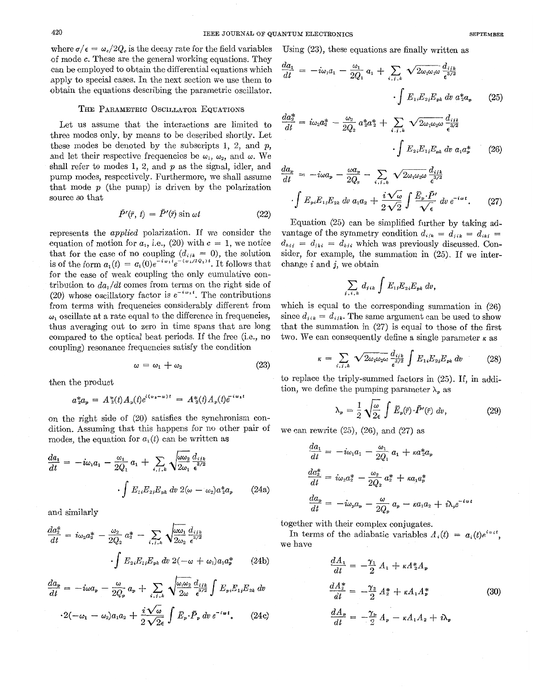where  $\sigma/\epsilon = \omega_c/2Q_c$  is the decay rate for the field variables of mode **e.** These are the general working equations. They can be employed to obtain the differential equations which apply to special cases. In the next section we use them to obtain the equations describing the parametric oscillator.

### THE PARAMETRIC OSCILLATOR EQUATIONS

Let us assume that the interactions are limited to three modes only, by means to be described shortly. Let these modes be denoted by the subscripts I, *2,* and *p,*  and let their respective frequencies be  $\omega_1$ ,  $\omega_2$ , and  $\omega$ . We shall refer to modes 1, 2, and *p* as the signal, idler, and pump modes, respectively. Furthermore, we shall assume that mode  $p$  (the pump) is driven by the polarization source so that

$$
\bar{P}'(\bar{r}, t) = \bar{P}'(\bar{r}) \sin \omega t \tag{22}
$$

represents the *applied* polarization. If we consider the equation of motion for  $a_1$ , i.e., (20) with  $c = 1$ , we notice that for the case of no coupling  $(d_{ijk} = 0)$ , the solution is of the form  $a_1(t) = a_1(0)e^{-i\omega_1 t}e^{-(\omega_1/2Q_1)t}$ . It follows that for the case of weak coupling the only cumulative contribution to *da,/dt* comes from terms on the right side of (20) whose oscillatory factor is  $e^{-i\omega_1 t}$ . The contributions from terms with frequencies considerably different from  $\omega_1$  oscillate at a rate equal to the difference in frequencies, thus averaging out to zero in time spans that are long compared to the optical beat periods. If the free (i.e., no coupling) resonance frequencies satisfy the condition

$$
\omega = \omega_1 + \omega_2 \tag{23}
$$

then the product

$$
a_2^* a_p = A_2^*(t) A_p(t) e^{i(\omega_2 - \omega)t} = A_2^*(t) A_p(t) e^{-i\omega_1 t}
$$

.on the right side of (20) satisfies the synchronism condition. Assuming that this happens for no other pair of modes, the equation for  $a_1(t)$  can be written as

$$
\frac{da_1}{dt} = -i\omega_1 a_1 - \frac{\omega_1}{2Q_1} a_1 + \sum_{i,i,k} \sqrt{\frac{\omega \omega_2}{2\omega_1}} \frac{d_{ijk}}{\epsilon^{3/2}}
$$

$$
\int E_{1i} E_{2j} E_{pk} dv 2(\omega - \omega_2) a_2^* a_p \qquad (24a)
$$

and similarly

$$
\frac{da_2^*}{dt} = i\omega_2 a_2^* - \frac{\omega_2}{2Q_2} a_2^* - \sum_{i,j,k} \sqrt{\frac{\omega \omega_1}{2\omega_2}} \frac{d_{ijk}}{\epsilon^{3/2}}
$$

$$
\int E_{2i} E_{1i} E_{pk} dv 2(-\omega + \omega_1) a_1 a_p^* \qquad (24b)
$$

$$
\frac{da_p}{dt} = -i\omega a_p - \frac{\omega}{2Q_p} a_p + \sum_{i,i,k} \sqrt{\frac{\omega_i \omega_2}{2\omega}} \frac{d_{ijk}}{\epsilon^{3/2}} \int E_{pi} E_{1i} E_{2k} dv
$$

$$
\cdot 2(-\omega_1 - \omega_2) a_1 a_2 + \frac{i \sqrt{\omega}}{2 \sqrt{2\epsilon}} \int \bar{E}_p \cdot \bar{P}_p dv e^{-i\omega t}.
$$
(24c)

Using *(23),* these equations are finally written as

$$
\frac{da_1}{dt} = -i\omega_1 a_1 - \frac{\omega_1}{2Q_1} a_1 + \sum_{i,j,k} \sqrt{2\omega_1 \omega_1 \omega} \frac{d_{ijk}}{\epsilon^{3/2}} \cdot \int E_{1i} E_{2j} E_{pk} dv \ a^*_{2} a_{p}
$$
 (25)

$$
\frac{da_2^*}{dt} = i\omega_2 a_2^* - \frac{\omega_2}{2Q_2} a_2^* a_2^* + \sum_{i,j,k} \sqrt{2\omega_1 \omega_2 \omega} \frac{d_{ijk}}{\epsilon^{3/2}}
$$

$$
\cdot \int E_{2i} E_{1j} E_{pk} dv a_1 a_p^* \qquad (26)
$$

$$
\frac{da_p}{dt} = -i\omega a_p - \frac{\omega a_p}{2Q_p} - \sum_{i,j,k} \sqrt{2\omega_i \omega_2 \omega} \frac{d_{ijk}}{\epsilon^{3/2}}
$$

$$
\int E_{pi} E_{1j} E_{2k} dv a_1 a_2 + \frac{i\sqrt{\omega}}{2\sqrt{2}} \int \frac{\bar{E}_p \cdot \bar{P}'}{\sqrt{\epsilon}} dv e^{-i\omega t}.
$$
(27)

Equation (25) can be simplified further by taking advantage of the symmetry condition  $d_{ijk} = d_{jik} = d_{ikj}$ .  $d_{kij} = d_{jki} = d_{kji}$  which was previously discussed. Consider, for example, the summation in *(25).* If we interchange *i* and *j,* we obtain

$$
\sum_{i,i,k} d_{iik} \int E_{1i} E_{2i} E_{pk} dv,
$$

which is equal to the corresponding summation in (26) since  $d_{ijk} = d_{ijk}$ . The same argument can be used to show that the summation in (27) is equal to those of the first two. We can consequently define a single parameter  $\kappa$  as

$$
\kappa = \sum_{i,j,k} \sqrt{2\omega_1 \omega_2 \omega} \frac{d_{ijk}}{\epsilon^{3/2}} \int E_{1i} E_{2i} E_{pk} dv \qquad (28)
$$

to replace the triply-summed factors in  $(25)$ . If, in addi-

tion, we define the pumping parameter 
$$
\lambda_p
$$
 as  

$$
\lambda_p = \frac{1}{2} \sqrt{\frac{\omega}{2\epsilon}} \int \bar{E}_p(\vec{r}) \cdot \bar{P}'(\vec{r}) dv,
$$
(29)

we can rewrite  $(25)$ ,  $(26)$ , and  $(27)$  as

$$
\begin{aligned}\n\frac{da_1}{dt} &= -i\omega_1 a_1 - \frac{\omega_1}{2Q_1} a_1 + \kappa a_2^* a_p \\
\frac{da_2^*}{dt} &= i\omega_2 a_2^* - \frac{\omega_2}{2Q_2} a_2^* + \kappa a_1 a_p^* \\
\frac{da_p}{dt} &= -i\omega_p a_p - \frac{\omega}{2Q_p} a_p - \kappa a_1 a_2 + i\lambda_p e^{-i\omega t}\n\end{aligned}
$$

together with their complex conjugates.

we have

that with then complex conjugates.  
\nin terms of the adiabatic variables 
$$
A_i(t) = a_i(t)e^{i\omega_i t}
$$
,  
\nhave  
\n
$$
\frac{dA_1}{dt} = -\frac{\gamma_1}{2} A_1 + \kappa A_2^* A_2
$$
\n
$$
\frac{dA_2^*}{dt} = -\frac{\gamma_2}{2} A_2^* + \kappa A_1 A_2^*
$$
\n(30)\n
$$
\frac{dA_p}{dt} = -\frac{\gamma_p}{2} A_p - \kappa A_1 A_2 + i \lambda_p
$$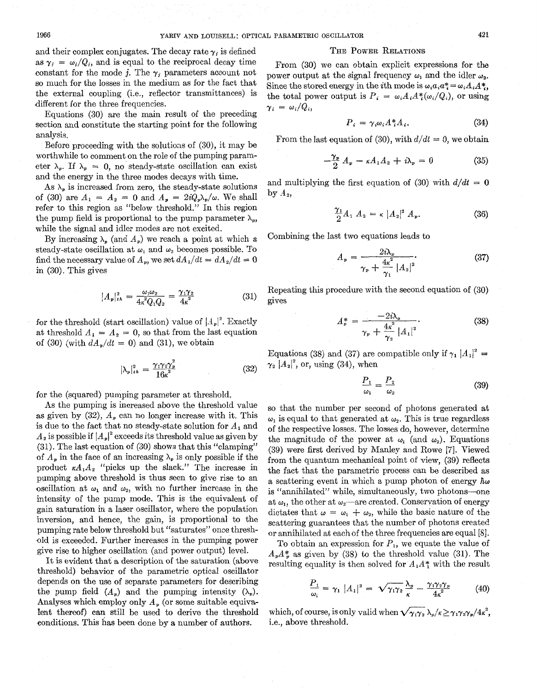and their complex conjugates. The decay rate  $\gamma_i$  is defined as  $\gamma_i = \omega_i/Q_i$ , and is equal to the reciprocal decay time constant for the mode *j*. The  $\gamma$ , parameters account not so much for the losses in the medium as for the fact that the external coupling (i.e., reflector transmittances) is different for the three frequencies.

Equations **(30)** are the main result of the preceding section and constitute the starting point for the following analysis.

Before proceeding with the solutions of **(30),** it may be worthwhile to comment on the role of the pumping parameter  $\lambda_n$ . If  $\lambda_n = 0$ , no steady-state oscillation can exist and the energy in the three modes decays with time.

As  $\lambda_p$  is increased from zero, the steady-state solutions of (30) are  $A_1 = A_2 = 0$  and  $A_n = 2iQ_n\lambda_n/\omega$ . We shall refer to this region as "below threshold." In this region the pump field is proportional to the pump parameter  $\lambda_n$ , while the signal and idler modes are not excited.

By increasing  $\lambda_p$  (and  $A_p$ ) we reach a point at which a steady-state oscillation at  $\omega_1$  and  $\omega_2$  becomes possible. To find the necessary value of  $A_p$ , we set  $dA_l/dt = dA_2/dt = 0$ in **(30).** This gives

$$
|A_p|_{th}^2 = \frac{\omega_1 \omega_2}{4\kappa^2 Q_1 Q_2} = \frac{\gamma_1 \gamma_2}{4\kappa^2} \tag{31}
$$

for the threshold (start oscillation) value of  $|A_n|^2$ . Exactly at threshold  $A_1 = A_2 = 0$ , so that from the last equation of (30) (with  $dA<sub>p</sub>/dt = 0$ ) and (31), we obtain

$$
|\lambda_p|_{th}^2 = \frac{\gamma_1 \gamma_2 \gamma_p^2}{16\kappa^2} \tag{32}
$$

for the (squared) pumping parameter at threshold.

As the pumping is increased above the threshold value as given by  $(32)$ ,  $A<sub>p</sub>$  can no longer increase with it. This is due to the fact that no steady-state solution for  $A_1$  and  $A_2$  is possible if  $|A_n|^2$  exceeds its threshold value as given by **(31).** The last equation of **(30)** shows that this "clamping" of  $A_p$  in the face of an increasing  $\lambda_p$  is only possible if the product  $\kappa A_1 A_2$  "picks up the slack." The increase in pumping above threshold is thus seen to give rise to an oscillation at  $\omega_1$  and  $\omega_2$ , with no further increase in the intensity of the pump mode. This is the equivalent of gain saturation in a laser oscillator, where the population inversion, and hence, the gain, is proportional to the pumping rate below threshold but "saturates" once threshold is exceeded. Further increases in the pumping power give rise to higher oscillation (and power output) level.

It is evident that a description of the saturation (above threshold) behavior of the parametric optical oscillator depends on the use of separate parameters for describing the pump field  $(A_p)$  and the pumping intensity  $(\lambda_p)$ . Analyses which employ only *A,* (or some suitable equivalent thereof) can still be used to derive the threshold conditions. This bas been done by a number of authors.

#### THE POWER RELATIONS

From **(30)** we can obtain explicit expressions for the power output at the signal frequency  $\omega_1$  and the idler  $\omega_2$ . Since the stored energy in the *i*th mode is  $\omega_i a_i a_i^* = \omega_i A_i A_i^*$ , the total power output is  $P_i = \omega_i A_i A_i^* (\omega_i/Q_i)$ , or using  $\gamma_i = \omega_i/Q_i$ 

$$
P_i = \gamma_i \omega_i A_i^* A_i. \tag{34}
$$

From the last equation of (30), with  $d/dt = 0$ , we obtain

$$
-\frac{\gamma_p}{2}A_p - \kappa A_1 A_2 + i\lambda_p = 0 \qquad (35)
$$

and multiplying the first equation of (30) with  $d/dt = 0$ by  $A_2$ ,

$$
\frac{\gamma_1}{2}A_1 A_2 = \kappa |A_2|^2 A_p. \tag{36}
$$

Combining the last two equations leads to

$$
A_{p} = \frac{2i\lambda_{p}}{\gamma_{p} + \frac{4\kappa^{2}}{\gamma_{1}} |A_{2}|^{2}}.
$$
 (37)

Repeating this procedure with the second equation of (30) gives

$$
A_p^* = \frac{-2i\lambda_p}{\gamma_p + \frac{4\kappa^2}{\gamma_p} |A_1|^2}.
$$
 (38)

Equations (38) and (37) are compatible only if  $\gamma_1 |A_1|^2$  =  $\gamma_2$   $|A_2|^2$ , or, using (34), when

$$
\frac{P_1}{\omega_1} = \frac{P_2}{\omega_2} \tag{39}
$$

so that the number per second of photons generated at  $\omega_1$  is equal to that generated at  $\omega_2$ . This is true regardless of the respective losses. The losses do, however, determine the magnitude of the power at  $\omega_1$  (and  $\omega_2$ ). Equations **(39)** were first derived by Manley and Rowe [7]. Viewed from the quantum mechanical point of view, **(39)** reflects the fact that the parametric process can be described as a scattering event in which a pump photon of energy *hw*  is "annihilated" while, simultaneously, two photons-one at  $\omega_1$ , the other at  $\omega_2$ —are created. Conservation of energy dictates that  $\omega = \omega_1 + \omega_2$ , while the basic nature of the scattering guarantees that the number of photons created or annihilated at each of the three frequencies are equal [8].

To obtain an expression for *P,,* we equate the value of  $A_p A_p^*$  as given by (38) to the threshold value (31). The resulting equality is then solved for  $A_1A_1^*$  with the result

$$
\frac{P_1}{\omega_1} = \gamma_1 |A_1|^2 = \sqrt{\gamma_1 \gamma_2} \frac{\lambda_p}{\kappa} - \frac{\gamma_1 \gamma_2 \gamma_p}{4 \kappa^2}
$$
 (40)

which, of course, is only valid when  $\sqrt{\gamma_1 \gamma_2} \lambda_p / \kappa \ge \gamma_1 \gamma_2 \gamma_p / 4 \kappa^2$ , i.e., above threshold.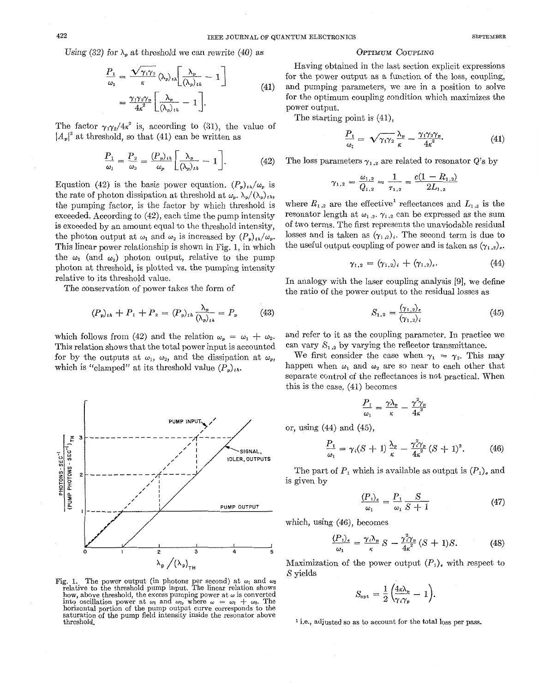Using (32) for  $\lambda_p$  at threshold we can rewrite (40) as

$$
\frac{P_1}{\omega_1} = \frac{\sqrt{\gamma_1 \gamma_2}}{\kappa} (\lambda_p)_{th} \left[ \frac{\lambda_p}{(\lambda_p)_{th}} - 1 \right]
$$
\n
$$
= \frac{\gamma_1 \gamma_2 \gamma_p}{4\kappa^2} \left[ \frac{\lambda_p}{(\lambda_p)_{th}} - 1 \right].
$$
\n(41)

The factor  $\gamma_1 \gamma_2 / 4 \kappa^2$  is, according to (31), the value of  $|A_n|^2$  at threshold, so that (41) can be written as

$$
\frac{P_1}{\omega_1} = \frac{P_2}{\omega_2} = \frac{(P_p)_{th}}{\omega_p} \left[ \frac{\lambda_p}{(\lambda_p)_{th}} - 1 \right].
$$
 (42)

Equation (42) is the basic power equation.  $(P_p)_{th}/\omega_p$  is the rate of photon dissipation at threshold at  $\omega_n$ ,  $\lambda_p/(\lambda_p)_{th}$ , the pumping factor, is the factor by which threshold is exceeded. According to (42), each time the pump intensity is exceeded by an amount equal to the threshold intensity, the photon output at  $\omega_1$  and  $\omega_2$  is increased by  $(P_n)_{th}/\omega_n$ . This linear power relationship is shown in Fig. 1, in which the  $\omega_1$  (and  $\omega_2$ ) photon output, relative to the pump photon at threshold, is plotted vs. the pumping intensity relative to its threshold value.

The conservation of power takes the form of

$$
(P_p)_{th} + P_1 + P_2 = (P_p)_{th} \frac{\lambda_p}{(\lambda_p)_{th}} = P_p \tag{43}
$$

which follows from (42) and the relation  $\omega_n = \omega_1 + \omega_2$ . This relation shows that the total power input is accounted for by the outputs at  $\omega_1$ ,  $\omega_2$ , and the dissipation at  $\omega_p$ , which is "clamped" at its threshold value  $(P_n)_{th}$ .



Fig. 1. The power output (in photons per second) at  $\omega_1$  and  $\omega_2$  relative to the threshold pump input. The linear relation shows how, above threshold, the excess pumping power at  $\omega$  is converted into oscillation power at  $\omega_1$  and  $\omega_2$ , where  $\omega = \omega_1 + \omega_2$ . The saturation of the pump field intensity inside the resonator above horizontal portion of the pump output curve corresponds to the

# OPTIMUM COUPLING

Having obtained in the last section explicit expressions for the power output as a function of the loss, coupling, and pumping parameters, we are in a position to solve for the optimum coupling condition which maximizes the power output.

The starting point is (41),

$$
\frac{P_1}{\omega_1} = \sqrt{\gamma_1 \gamma_2} \frac{\lambda_p}{\kappa} - \frac{\gamma_1 \gamma_2 \gamma_p}{4 \kappa^2}.
$$
 (41)

The loss parameters  $\gamma_{1,2}$  are related to resonator Q's by

$$
\gamma_{1,2} = \frac{\omega_{1,2}}{Q_{1,2}} = \frac{1}{\tau_{1,2}} = \frac{c(1 - R_{1,2})}{2L_{1,2}}
$$

where  $R_{1,2}$  are the effective<sup>1</sup> reflectances and  $L_{1,2}$  is the resonator length at  $\omega_{1,2}$ ,  $\gamma_{1,2}$  can be expressed as the sum of two terms. The first represents the unaviodable residual losses and is taken as  $(\gamma_{1,2})_i$ . The second term is due to the useful output coupling of power and is taken as  $(\gamma_{1,2})_e$ .

$$
\gamma_{1,2} = (\gamma_{1,2})_i + (\gamma_{1,2})_s. \tag{44}
$$

In analogy with the laser coupling analysis [9], we define the ratio of the power output to the residual losses as

$$
S_{1,2} = \frac{(\gamma_{1,2})_e}{(\gamma_{1,2})_i} \tag{45}
$$

and refer to it as the coupling parameter. In practice we can vary  $S_{1,2}$  by varying the reflector transmittance.

We first consider the case when  $\gamma_1 = \gamma_2$ . This may happen when  $\omega_1$  and  $\omega_2$  are so near to each other that separate control of the reflectances is not practical. When this is the case,  $(41)$  becomes

$$
\frac{P_1}{\omega_1} = \frac{\gamma \lambda_p}{\kappa} - \frac{\gamma^2 \gamma_p}{4 \kappa^2}
$$

or, using (44) and (45),

$$
\frac{P_1}{\omega_1} = \gamma_i (S+1) \frac{\lambda_p}{\kappa} - \frac{\gamma_i^2 \gamma_p}{4\kappa^2} (S+1)^2. \tag{46}
$$

The part of  $P_1$  which is available as output is  $(P_1)$ , and is given by

$$
\frac{(P_1)_e}{\omega_1} = \frac{P_1}{\omega_1} \frac{S}{S+1}
$$
 (47)

which, using (46), becomes

$$
\frac{(P_1)_e}{\omega_1} = \frac{\gamma_i \lambda_p}{\kappa} S - \frac{\gamma_i^2 \gamma_p}{4\kappa^2} (S+1) S. \tag{48}
$$

 $\lambda_{\mathsf{p}} / (\lambda_{\mathsf{p}})_{\tau\mathsf{H}}$  Maximization of the power output  $(P_1)_{\mathsf{e}}$  with respect to X yields

$$
S_{\text{opt}} = \frac{1}{2} \left( \frac{4\kappa \lambda_p}{\gamma_i \gamma_p} - 1 \right).
$$

<sup>1</sup> i.e., adjusted so as to account for the total loss per pass.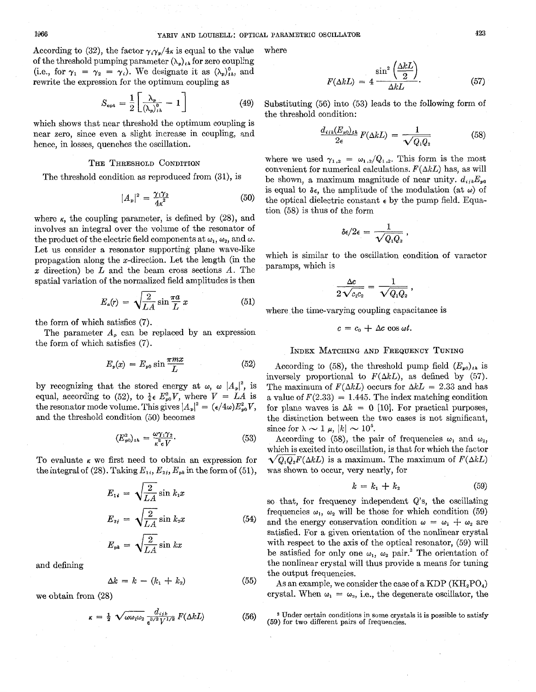According to (32), the factor  $\gamma_i \gamma_p/4\kappa$  is equal to the value where of the threshold pumping parameter  $(\lambda_n)_{i}$  for zero coupling (i.e., for  $\gamma_1 = \gamma_2 = \gamma_i$ ). We designate it as  $(\lambda_p)_{ik}^0$ , and rewrite the expression for the optimum coupling as

$$
S_{\text{opt}} = \frac{1}{2} \left[ \frac{\lambda_p}{(\lambda_p)_i^0} - 1 \right] \tag{49}
$$

which shows that near threshold the optimum coupling is near zero, since even a slight increase in coupling, and hence, in losses, quenches the oscillation.

$$
|A_{\nu}|^2 = \frac{\gamma_1 \gamma_2}{4\kappa^2} \tag{50}
$$

where  $\kappa$ , the coupling parameter, is defined by  $(28)$ , and involves an integral over the volume of the resonator of the product of the electric field components at  $\omega_1$ ,  $\omega_2$ , and  $\omega$ . Let us consider a resonator supporting plane wave-like propagation along the x-direction. Let the length (in the *<sup>x</sup>*direction) be *L* and the beam cross sections *A.* The

spatial variation of the normalized field amplitudes is then\n
$$
E_a(r) = \sqrt{\frac{2}{LA}} \sin \frac{\pi a}{L} x
$$
\n(51)\nwhere the time-varying coupling can

the form of which satisfies (7).

the form of which satisfies (7). Form of which satisfies (7).<br>
The parameter  $A_p$  can be replaced by an expression<br>
e form of which satisfies (7).<br>  $E_p(x) = E_{p0} \sin \frac{\pi m x}{L}$  (52) According to (58), the threshold pu<br>
inversely proportional to  $F(\Delta k L)$ , a

$$
E_p(x) = E_{p0} \sin \frac{\pi m x}{L} \tag{52}
$$

by recognizing that the stored energy at  $\omega$ ,  $\omega |A_{\nu}|^2$ , is equal, according to (52), to  $\frac{1}{4} \epsilon E_{p0}^2 V$ , where  $V = LA$  is the resonator mode volume. This gives  $|A_{\nu}|^2 = (\epsilon/4\omega)E_{\nu}^2 V$ , and the threshold condition (50) becomes

$$
(E_{\nu^0}^2)_{th} = \frac{\omega \gamma_1 \gamma_2}{\kappa^2 \epsilon V}.
$$
 (53)

To evaluate  $\kappa$  we first need to obtain an expression for the integral of (28). Taking  $E_{1i}$ ,  $E_{2i}$ ,  $E_{pk}$  in the form of (51),

$$
E_{1i} = \sqrt{\frac{2}{LA}} \sin k_1 x
$$
  
\n
$$
E_{2i} = \sqrt{\frac{2}{LA}} \sin k_2 x
$$
 (54)  
\n
$$
E_{pk} = \sqrt{\frac{2}{LA}} \sin kx
$$

and defining

$$
\Delta k = k - (k_1 + k_2) \tag{55}
$$

we obtain from (28)

$$
\Delta k = k - (k_1 + k_2)
$$
 (55)  
\nm (28)  
\n
$$
\kappa = \frac{1}{2} \sqrt{\omega \omega_1 \omega_2} \frac{d_{ijk}}{\epsilon^{3/2} V^{1/2}} F(\Delta k L)
$$
 (56)

$$
F(\Delta k L) = 4 \frac{\sin^2 \left(\frac{\Delta k L}{2}\right)}{\Delta k L}.
$$
 (57)

 $S_{opt} = \frac{1}{2} \left[ \frac{m_p}{(\lambda_p)_i^0} - 1 \right]$  (49) Substituting (56) into (53) leads to the following form of the threshold condition:

$$
\Delta kL
$$
\n56) into (53) leads to the following form of  
\ncondition:\n
$$
\frac{d_{ijk}(E_{p0})_{th}}{2\epsilon}F(\Delta kL) = \frac{1}{\sqrt{Q_1Q_2}}
$$
\n(58)

THE THRESHOLD CONDITION where we used  $\gamma_{1,2} = \omega_{1,2}/Q_{1,2}$ . This form is the most convenient for numerical calculations.  $F(\Delta kL)$  has, as will  $|A_{\nu}|^2 = \frac{\gamma_1 \gamma_2}{4\kappa^2}$  (50) is equal to  $\delta \epsilon$ , the amplitude of the modulation (at  $\omega$ ) of the optical dielectric constant  $\epsilon$  by the pump field. Equa-<br>parameter, is defined by (28), and to (58) is thus of the f tion (58) is thus of the form The threshold condition as reproduced from (31), is be shown, a maximum magnitude of near unity.  $d_{ijk}E_{n0}$ 

$$
\delta\epsilon/2\epsilon = \frac{1}{\sqrt{Q_1Q_2}}\ ,
$$

which is similar to the oscillation condition of varactor paramps, which is

$$
\frac{\Delta c}{2\sqrt{c_1c_2}}=\frac{1}{\sqrt{Q_1Q_2}}\ ,
$$

where the time-varying coupling capacitance is

$$
c = c_0 + \Delta c \cos \omega t.
$$

### INDEX MATCHING AND FREQUENCY TUNING

According to (58), the threshold pump field  $(E_{p0})_{th}$  is inversely proportional to  $F(\Delta kL)$ , as defined by (57). The maximum of  $F(\Delta kL)$  occurs for  $\Delta kL = 2.33$  and has a value of  $F(2.33) = 1.445$ . The index matching condition for plane waves is  $\Delta k = 0$  [10]. For practical purposes, the distinction between the two cases is not significant, since for  $\lambda \sim 1 \mu$ ,  $|k| \sim 10^5$ .

According to (58), the pair of frequencies  $\omega_1$  and  $\omega_2$ , which is excited into oscillation, is that for which the factor  $\sqrt{Q_1 Q_2} F(\Delta kL)$  is a maximum. The maximum of  $F(\Delta kL)$ was shown to occur, very nearly, for

$$
k = k_1 + k_2 \tag{59}
$$

so that, for frequency independent Q's, the oscillating frequencies  $\omega_1$ ,  $\omega_2$  will be those for which condition (59) and the energy conservation condition  $\omega = \omega_1 + \omega_2$  are satisfied. For a given orientation of the nonlinear crystal with respect to the axis of the optical resonator,  $(59)$  will be satisfied for only one  $\omega_1$ ,  $\omega_2$  pair.<sup>2</sup> The orientation of the nonlinear crystal will thus provide a means for tuning the output frequencies.

As an example, we consider the case of a KDP  $(KH_2PO_4)$ crystal. When  $\omega_1 = \omega_2$ , i.e., the degenerate oscillator, the

<sup>\*</sup> Under certain conditions in some crystals it is possible to satisfy (56) **(59)** for two different pairs of frequencies.